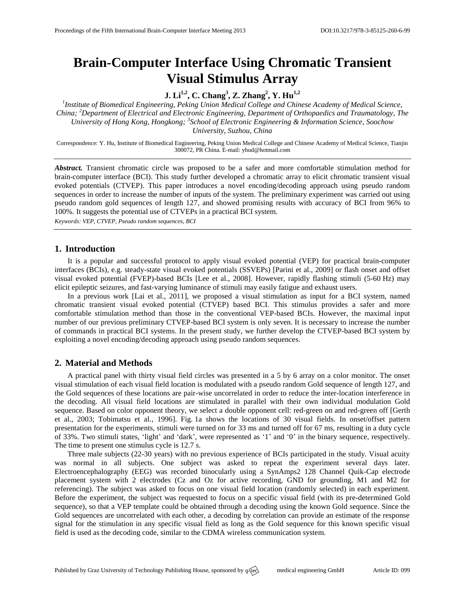# **Brain-Computer Interface Using Chromatic Transient Visual Stimulus Array**

**J. Li1,2 , C. Chang<sup>3</sup> , Z. Zhang<sup>2</sup> , Y. Hu1,2**

*1 Institute of Biomedical Engineering, Peking Union Medical College and Chinese Academy of Medical Science, China; <sup>2</sup>Department of Electrical and Electronic Engineering, Department of Orthopaedics and Traumatology, The University of Hong Kong, Hongkong; 3 School of Electronic Engineering & Information Science, Soochow University, Suzhou, China*

Correspondence: Y. Hu, Institute of Biomedical Engineering, Peking Union Medical College and Chinese Academy of Medical Science, Tianjin 300072, PR China. E-mail[: yhud@hotmail.com](mailto:yhud@hotmail.com)

*Abstract.* Transient chromatic circle was proposed to be a safer and more comfortable stimulation method for brain-computer interface (BCI). This study further developed a chromatic array to elicit chromatic transient visual evoked potentials (CTVEP). This paper introduces a novel encoding/decoding approach using pseudo random sequences in order to increase the number of inputs of the system. The preliminary experiment was carried out using pseudo random gold sequences of length 127, and showed promising results with accuracy of BCI from 96% to 100%. It suggests the potential use of CTVEPs in a practical BCI system.

*Keywords: VEP, CTVEP, Pseudo random sequences, BCI*

### **1. Introduction**

It is a popular and successful protocol to apply visual evoked potential (VEP) for practical brain-computer interfaces (BCIs), e.g. steady-state visual evoked potentials (SSVEPs) [Parini et al., 2009] or flash onset and offset visual evoked potential (FVEP)-based BCIs [Lee et al., 2008]. However, rapidly flashing stimuli (5-60 Hz) may elicit epileptic seizures, and fast-varying luminance of stimuli may easily fatigue and exhaust users.

In a previous work [Lai et al., 2011], we proposed a visual stimulation as input for a BCI system, named chromatic transient visual evoked potential (CTVEP) based BCI. This stimulus provides a safer and more comfortable stimulation method than those in the conventional VEP-based BCIs. However, the maximal input number of our previous preliminary CTVEP-based BCI system is only seven. It is necessary to increase the number of commands in practical BCI systems. In the present study, we further develop the CTVEP-based BCI system by exploiting a novel encoding/decoding approach using pseudo random sequences.

## **2. Material and Methods**

A practical panel with thirty visual field circles was presented in a 5 by 6 array on a color monitor. The onset visual stimulation of each visual field location is modulated with a pseudo random Gold sequence of length 127, and the Gold sequences of these locations are pair-wise uncorrelated in order to reduce the inter-location interference in the decoding. All visual field locations are stimulated in parallel with their own individual modulation Gold sequence. Based on color opponent theory, we select a double opponent cell: red-green on and red-green off [Gerth et al., 2003; Tobimatsu et al., 1996]. Fig. 1a shows the locations of 30 visual fields. In onset/offset pattern presentation for the experiments, stimuli were turned on for 33 ms and turned off for 67 ms, resulting in a duty cycle of 33%. Two stimuli states, 'light' and 'dark', were represented as '1' and '0' in the binary sequence, respectively. The time to present one stimulus cycle is 12.7 s.

Three male subjects (22-30 years) with no previous experience of BCIs participated in the study. Visual acuity was normal in all subjects. One subject was asked to repeat the experiment several days later. Electroencephalography (EEG) was recorded binocularly using a SynAmps2 128 Channel Quik-Cap electrode placement system with 2 electrodes (Cz and Oz for active recording, GND for grounding, M1 and M2 for referencing). The subject was asked to focus on one visual field location (randomly selected) in each experiment. Before the experiment, the subject was requested to focus on a specific visual field (with its pre-determined Gold sequence), so that a VEP template could be obtained through a decoding using the known Gold sequence. Since the Gold sequences are uncorrelated with each other, a decoding by correlation can provide an estimate of the response signal for the stimulation in any specific visual field as long as the Gold sequence for this known specific visual field is used as the decoding code, similar to the CDMA wireless communication system.